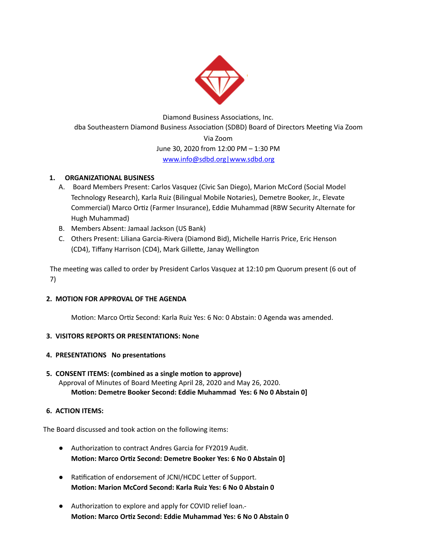

Diamond Business Associations, Inc. dba Southeastern Diamond Business Association (SDBD) Board of Directors Meeting Via Zoom Via Zoom June 30, 2020 from 12:00 PM – 1:30 PM [www.info@sdbd.org](mailto:www.info@sdbd.org)[|www.sdbd.org](http://www.sdbd.org/)

# **1. ORGANIZATIONAL BUSINESS**

- A. Board Members Present: Carlos Vasquez (Civic San Diego), Marion McCord (Social Model Technology Research), Karla Ruiz (Bilingual Mobile Notaries), Demetre Booker, Jr., Elevate Commercial) Marco Ortiz (Farmer Insurance), Eddie Muhammad (RBW Security Alternate for Hugh Muhammad)
- B. Members Absent: Jamaal Jackson (US Bank)
- C. Others Present: Liliana Garcia-Rivera (Diamond Bid), Michelle Harris Price, Eric Henson (CD4), Tiffany Harrison (CD4), Mark Gillette, Janay Wellington

The meeting was called to order by President Carlos Vasquez at 12:10 pm Quorum present (6 out of 7)

#### **2. MOTION FOR APPROVAL OF THE AGENDA**

Motion: Marco Ortiz Second: Karla Ruiz Yes: 6 No: 0 Abstain: 0 Agenda was amended.

#### **3. VISITORS REPORTS OR PRESENTATIONS: None**

#### **4. PRESENTATIONS No presentations**

#### **5. CONSENT ITEMS: (combined as a single moon to approve)** Approval of Minutes of Board Meeting April 28, 2020 and May 26, 2020. **Moon: Demetre Booker Second: Eddie Muhammad Yes: 6 No 0 Abstain 0]**

#### **6. ACTION ITEMS:**

The Board discussed and took action on the following items:

- Authorization to contract Andres Garcia for FY2019 Audit. **Motion: Marco Ortiz Second: Demetre Booker Yes: 6 No 0 Abstain 0]**
- Ratification of endorsement of JCNI/HCDC Letter of Support. **Moon: Marion McCord Second: Karla Ruiz Yes: 6 No 0 Abstain 0**
- Authorization to explore and apply for COVID relief loan.-**Motion: Marco Ortiz Second: Eddie Muhammad Yes: 6 No 0 Abstain 0**